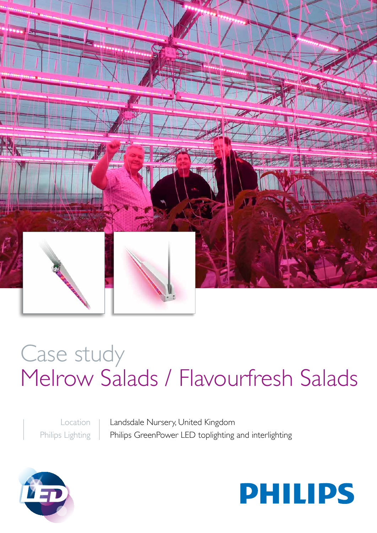

# Case study Melrow Salads / Flavourfresh Salads

Location Philips Lighting Landsdale Nursery, United Kingdom Philips GreenPower LED toplighting and interlighting



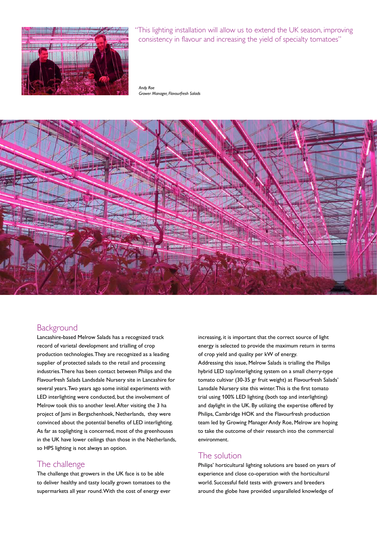

"This lighting installation will allow us to extend the UK season, improving consistency in flavour and increasing the yield of specialty tomatoes"

*Andy Roe Grower Manager, Flavourfresh Salads*



# **Background**

Lancashire-based Melrow Salads has a recognized track record of varietal development and trialling of crop production technologies. They are recognized as a leading supplier of protected salads to the retail and processing industries. There has been contact between Philips and the Flavourfresh Salads Landsdale Nursery site in Lancashire for several years. Two years ago some initial experiments with LED interlighting were conducted, but the involvement of Melrow took this to another level. After visiting the 3 ha project of Jami in Bergschenhoek, Netherlands, they were convinced about the potential benefits of LED interlighting. As far as toplighting is concerned, most of the greenhouses in the UK have lower ceilings than those in the Netherlands, so HPS lighting is not always an option.

# The challenge

The challenge that growers in the UK face is to be able to deliver healthy and tasty locally grown tomatoes to the supermarkets all year round. With the cost of energy ever increasing, it is important that the correct source of light energy is selected to provide the maximum return in terms of crop yield and quality per kW of energy. Addressing this issue, Melrow Salads is trialling the Philips hybrid LED top/interlighting system on a small cherry-type tomato cultivar (30-35 gr fruit weight) at Flavourfresh Salads' Lansdale Nursery site this winter. This is the first tomato trial using 100% LED lighting (both top and interlighting) and daylight in the UK. By utilizing the expertise offered by Philips, Cambridge HOK and the Flavourfresh production team led by Growing Manager Andy Roe, Melrow are hoping to take the outcome of their research into the commercial environment.

## The solution

Philips' horticultural lighting solutions are based on years of experience and close co-operation with the horticultural world. Successful field tests with growers and breeders around the globe have provided unparalleled knowledge of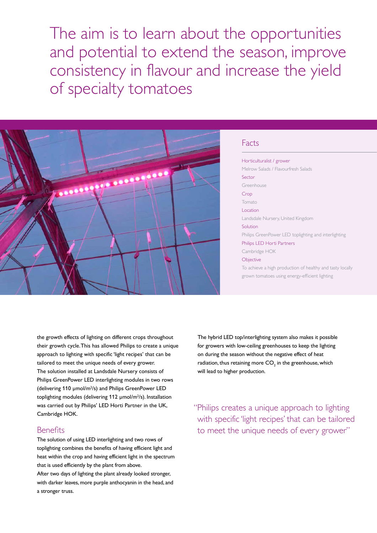The aim is to learn about the opportunities and potential to extend the season, improve consistency in flavour and increase the yield of specialty tomatoes



#### Facts

Horticulturalist / grower Melrow Salads / Flavourfresh Salads Sector Greenhouse Crop Tomato Location Landsdale Nursery, United Kingdom **Solution** Philips GreenPower LED toplighting and interlighting Philips LED Horti Partners Cambridge HOK **Objective** 

To achieve a high production of healthy and tasty locally grown tomatoes using energy-efficient lighting

the growth effects of lighting on different crops throughout their growth cycle. This has allowed Philips to create a unique approach to lighting with specific 'light recipes' that can be tailored to meet the unique needs of every grower. The solution installed at Landsdale Nursery consists of Philips GreenPower LED interlighting modules in two rows (delivering 110 µmol/m<sup>2</sup>/s) and Philips GreenPower LED toplighting modules (delivering 112 µmol/m2 /s). Installation was carried out by Philips' LED Horti Partner in the UK, Cambridge HOK.

### **Benefits**

a stronger truss.

The solution of using LED interlighting and two rows of toplighting combines the benefits of having efficient light and heat within the crop and having efficient light in the spectrum that is used efficiently by the plant from above. After two days of lighting the plant already looked stronger, with darker leaves, more purple anthocyanin in the head, and

The hybrid LED top/interlighting system also makes it possible for growers with low-ceiling greenhouses to keep the lighting on during the season without the negative effect of heat radiation, thus retaining more  $\mathsf{CO}_2$  in the greenhouse, which will lead to higher production.

"Philips creates a unique approach to lighting with specific 'light recipes' that can be tailored to meet the unique needs of every grower"